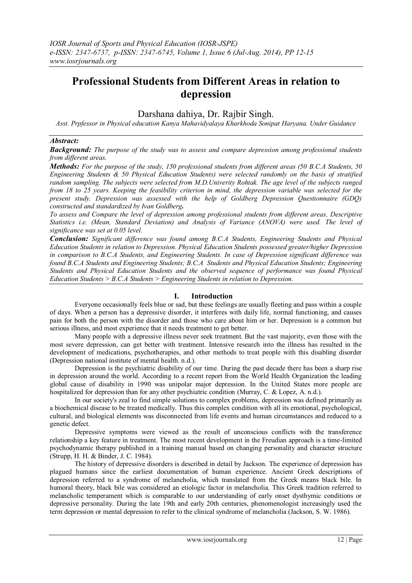# **Professional Students from Different Areas in relation to depression**

# Darshana dahiya, Dr. Rajbir Singh.

*Asst. Prpfessor in Physical education Kanya Mahavidyalaya Kharkhoda Sonipat Haryana. Under Guidance* 

#### *Abstract:*

*Background: The purpose of the study was to assess and compare depression among professional students from different areas.* 

*Methods: For the purpose of the study, 150 professional students from different areas (50 B.C.A Students, 50 Engineering Students & 50 Physical Education Students) were selected randomly on the basis of stratified random sampling. The subjects were selected from M.D.Univerity Rohtak. The age level of the subjects ranged from 18 to 25 years. Keeping the feasibility criterion in mind, the depression variable was selected for the present study. Depression was assessed with the help of Goldberg Depression Questionnaire (GDQ) constructed and standardized by Ivan Goldberg.*

*To assess and Compare the level of depression among professional students from different areas, Descriptive Statistics i.e. (Mean, Standard Deviation) and Analysis of Variance (ANOVA) were used. The level of significance was set at 0.05 level.*

*Conclusion: Significant difference was found among B.C.A Students, Engineering Students and Physical Education Students in relation to Depression. Physical Education Students possessed greater/higher Depression in comparison to B.C.A Students, and Engineering Students. In case of Depression significant difference was found B.C.A Students and Engineering Students; B.C.A Students and Physical Education Students; Engineering Students and Physical Education Students and the observed sequence of performance was found Physical Education Students > B.C.A Students > Engineering Students in relation to Depression.*

## **I. Introduction**

Everyone occasionally feels blue or sad, but these feelings are usually fleeting and pass within a couple of days. When a person has a depressive disorder, it interferes with daily life, normal functioning, and causes pain for both the person with the disorder and those who care about him or her. Depression is a common but serious illness, and most experience that it needs treatment to get better.

Many people with a depressive illness never seek treatment. But the vast majority, even those with the most severe depression, can get better with treatment. Intensive research into the illness has resulted in the development of medications, psychotherapies, and other methods to treat people with this disabling disorder (Depression national institute of mental health. n.d.).

Depression is the psychiatric disability of our time. During the past decade there has been a sharp rise in depression around the world. According to a recent report from the World Health Organization the leading global cause of disability in 1990 was unipolar major depression. In the United States more people are hospitalized for depression than for any other psychiatric condition (Murray, C. & Lopez, A. n.d.).

In our society's zeal to find simple solutions to complex problems, depression was defined primarily as a biochemical disease to be treated medically. Thus this complex condition with all its emotional, psychological, cultural, and biological elements was disconnected from life events and human circumstances and reduced to a genetic defect.

Depressive symptoms were viewed as the result of unconscious conflicts with the transference relationship a key feature in treatment. The most recent development in the Freudian approach is a time-limited psychodynamic therapy published in a training manual based on changing personality and character structure (Strupp, H. H. & Binder, J. C. 1984).

The history of depressive disorders is described in detail by Jackson. The experience of depression has plagued humans since the earliest documentation of human experience. Ancient Greek descriptions of depression referred to a syndrome of melancholia, which translated from the Greek means black bile. In humoral theory, black bile was considered an etiologic factor in melancholia. This Greek tradition referred to melancholic temperament which is comparable to our understanding of early onset dysthymic conditions or depressive personality. During the late 19th and early 20th centuries, phenomenologist increasingly used the term depression or mental depression to refer to the clinical syndrome of melancholia (Jackson, S. W. 1986).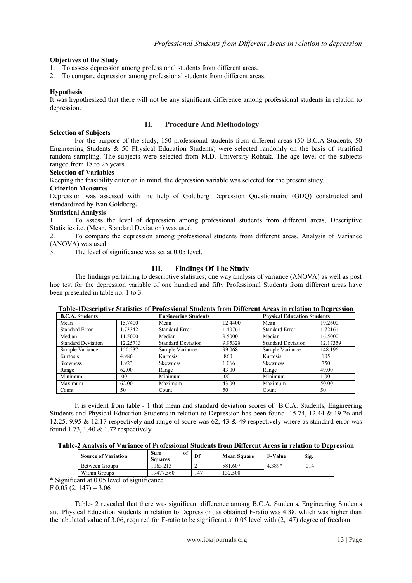## **Objectives of the Study**

- 1. To assess depression among professional students from different areas.
- 2. To compare depression among professional students from different areas.

#### **Hypothesis**

It was hypothesized that there will not be any significant difference among professional students in relation to depression.

### **II. Procedure And Methodology**

**Selection of Subjects** For the purpose of the study, 150 professional students from different areas (50 B.C.A Students, 50 Engineering Students & 50 Physical Education Students) were selected randomly on the basis of stratified random sampling. The subjects were selected from M.D. University Rohtak. The age level of the subjects ranged from 18 to 25 years.

#### **Selection of Variables**

Keeping the feasibility criterion in mind, the depression variable was selected for the present study.

#### **Criterion Measures**

Depression was assessed with the help of Goldberg Depression Questionnaire (GDQ) constructed and standardized by Ivan Goldberg**.**

## **Statistical Analysis**

1. To assess the level of depression among professional students from different areas, Descriptive Statistics i.e. (Mean, Standard Deviation) was used.

2. To compare the depression among professional students from different areas, Analysis of Variance (ANOVA) was used.

3. The level of significance was set at 0.05 level.

## **III. Findings Of The Study**

The findings pertaining to descriptive statistics, one way analysis of variance (ANOVA) as well as post hoc test for the depression variable of one hundred and fifty Professional Students from different areas have been presented in table no. 1 to 3.

| <b>B.C.A. Students</b>    |          | <b>Engineering Students</b> |         | <b>Physical Education Students</b> |          |
|---------------------------|----------|-----------------------------|---------|------------------------------------|----------|
| 15.7400<br>Mean           |          | Mean                        | 12.4400 | Mean                               | 19.2600  |
| Standard Error            | 1.73342  | <b>Standard Error</b>       | 1.40761 | <b>Standard Error</b>              | 1.72161  |
| Median                    | 11.5000  | Median                      | 9.5000  | Median                             | 16.5000  |
| <b>Standard Deviation</b> | 12.25713 | <b>Standard Deviation</b>   | 9.95328 | <b>Standard Deviation</b>          | 12.17359 |
| Sample Variance           | 150.237  | Sample Variance             | 99.068  | Sample Variance                    | 148.196  |
| Kurtosis                  | 4.986    | Kurtosis                    | .860    | Kurtosis                           | .105     |
| <b>Skewness</b>           | 1.923    | <b>Skewness</b>             | 1.066   | Skewness                           | .750     |
| Range                     | 62.00    | Range                       | 43.00   | Range                              | 49.00    |
| Minimum                   | .00      | Minimum                     | .00.    | Minimum                            | 1.00     |
| Maximum                   | 62.00    | Maximum                     | 43.00   | Maximum                            | 50.00    |
| Count                     | 50       | Count                       | 50      | Count                              | 50       |

#### **Table-1Descriptive Statistics of Professional Students from Different Areas in relation to Depression**

It is evident from table - 1 that mean and standard deviation scores of B.C.A. Students, Engineering Students and Physical Education Students in relation to Depression has been found 15.74, 12.44 & 19.26 and 12.25, 9.95 & 12.17 respectively and range of score was 62, 43 & 49 respectively where as standard error was found 1.73, 1.40 & 1.72 respectively.

|  |  |  | Table-2 Analysis of Variance of Professional Students from Different Areas in relation to Depression |  |
|--|--|--|------------------------------------------------------------------------------------------------------|--|
|--|--|--|------------------------------------------------------------------------------------------------------|--|

|        | <b>Source of Variation</b>   | of<br>Sum<br>Squares | Df  | <b>Mean Square</b> | <b>F-Value</b> | Sig. |
|--------|------------------------------|----------------------|-----|--------------------|----------------|------|
|        | Between Groups               | 163.213              |     | 581.607            | 4.389*         | .014 |
|        | Within Groups                | 19477.560            | 147 | 132.500            |                |      |
| $\sim$ | $\cdot$ $\sim$<br>$\sqrt{2}$ |                      |     |                    |                |      |

\* Significant at 0.05 level of significance

 $F\ 0.05\ (2, 147) = 3.06$ 

Table- 2 revealed that there was significant difference among B.C.A. Students, Engineering Students and Physical Education Students in relation to Depression, as obtained F-ratio was 4.38, which was higher than the tabulated value of 3.06, required for F-ratio to be significant at 0.05 level with (2,147) degree of freedom.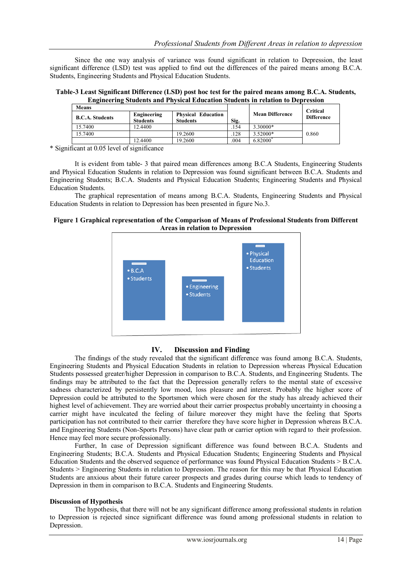Since the one way analysis of variance was found significant in relation to Depression, the least significant difference (LSD) test was applied to find out the differences of the paired means among B.C.A. Students, Engineering Students and Physical Education Students.

**Table-3 Least Significant Difference (LSD) post hoc test for the paired means among B.C.A. Students, Engineering Students and Physical Education Students in relation to Depression**

| Means                  |                                |                                              |      |                        | <b>Critical</b>   |
|------------------------|--------------------------------|----------------------------------------------|------|------------------------|-------------------|
| <b>B.C.A. Students</b> | Engineering<br><b>Students</b> | <b>Physical Education</b><br><b>Students</b> | Sig. | <b>Mean Difference</b> | <b>Difference</b> |
| 15.7400                | 12.4400                        |                                              | 154  | 3.30000*               |                   |
| 15.7400                |                                | 19.2600                                      | 128  | 3.52000*               | 0.860             |
|                        | 12.4400                        | 19.2600                                      | .004 | 6.82000                |                   |

\* Significant at 0.05 level of significance

It is evident from table- 3 that paired mean differences among B.C.A Students, Engineering Students and Physical Education Students in relation to Depression was found significant between B.C.A. Students and Engineering Students; B.C.A. Students and Physical Education Students; Engineering Students and Physical Education Students.

The graphical representation of means among B.C.A. Students, Engineering Students and Physical Education Students in relation to Depression has been presented in figure No.3.

#### **Figure 1 Graphical representation of the Comparison of Means of Professional Students from Different Areas in relation to Depression**



# **IV. Discussion and Finding**

The findings of the study revealed that the significant difference was found among B.C.A. Students, Engineering Students and Physical Education Students in relation to Depression whereas Physical Education Students possessed greater/higher Depression in comparison to B.C.A. Students, and Engineering Students. The findings may be attributed to the fact that the Depression generally refers to the mental state of excessive sadness characterized by persistently low mood, loss pleasure and interest. Probably the higher score of Depression could be attributed to the Sportsmen which were chosen for the study has already achieved their highest level of achievement. They are worried about their carrier prospectus probably uncertainty in choosing a carrier might have inculcated the feeling of failure moreover they might have the feeling that Sports participation has not contributed to their carrier therefore they have score higher in Depression whereas B.C.A. and Engineering Students (Non-Sports Persons) have clear path or carrier option with regard to their profession. Hence may feel more secure professionally.

Further, In case of Depression significant difference was found between B.C.A. Students and Engineering Students; B.C.A. Students and Physical Education Students; Engineering Students and Physical Education Students and the observed sequence of performance was found Physical Education Students > B.C.A. Students > Engineering Students in relation to Depression. The reason for this may be that Physical Education Students are anxious about their future career prospects and grades during course which leads to tendency of Depression in them in comparison to B.C.A. Students and Engineering Students.

#### **Discussion of Hypothesis**

The hypothesis, that there will not be any significant difference among professional students in relation to Depression is rejected since significant difference was found among professional students in relation to Depression.